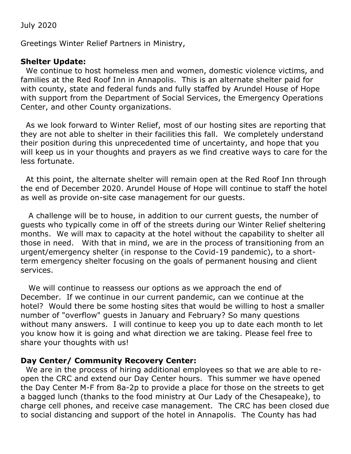July 2020

Greetings Winter Relief Partners in Ministry,

## **Shelter Update:**

We continue to host homeless men and women, domestic violence victims, and families at the Red Roof Inn in Annapolis. This is an alternate shelter paid for with county, state and federal funds and fully staffed by Arundel House of Hope with support from the Department of Social Services, the Emergency Operations Center, and other County organizations.

As we look forward to Winter Relief, most of our hosting sites are reporting that they are not able to shelter in their facilities this fall. We completely understand their position during this unprecedented time of uncertainty, and hope that you will keep us in your thoughts and prayers as we find creative ways to care for the less fortunate.

At this point, the alternate shelter will remain open at the Red Roof Inn through the end of December 2020. Arundel House of Hope will continue to staff the hotel as well as provide on-site case management for our guests.

 A challenge will be to house, in addition to our current guests, the number of guests who typically come in off of the streets during our Winter Relief sheltering months. We will max to capacity at the hotel without the capability to shelter all those in need. With that in mind, we are in the process of transitioning from an urgent/emergency shelter (in response to the Covid-19 pandemic), to a shortterm emergency shelter focusing on the goals of permanent housing and client services.

 We will continue to reassess our options as we approach the end of December. If we continue in our current pandemic, can we continue at the hotel? Would there be some hosting sites that would be willing to host a smaller number of "overflow" guests in January and February? So many questions without many answers. I will continue to keep you up to date each month to let you know how it is going and what direction we are taking. Please feel free to share your thoughts with us!

## **Day Center/ Community Recovery Center:**

We are in the process of hiring additional employees so that we are able to reopen the CRC and extend our Day Center hours. This summer we have opened the Day Center M-F from 8a-2p to provide a place for those on the streets to get a bagged lunch (thanks to the food ministry at Our Lady of the Chesapeake), to charge cell phones, and receive case management. The CRC has been closed due to social distancing and support of the hotel in Annapolis. The County has had